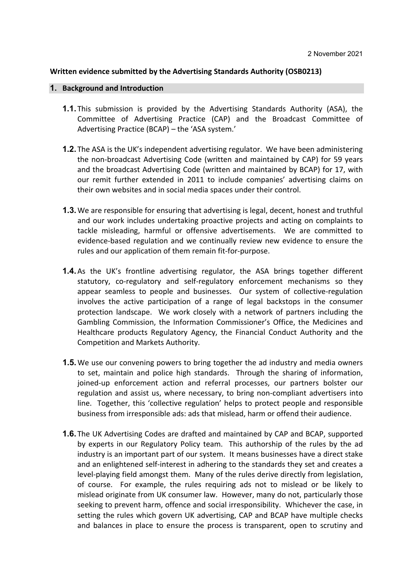## **Written evidence submitted by the Advertising Standards Authority (OSB0213)**

## **1. Background and Introduction**

- **1.1.** This submission is provided by the Advertising Standards Authority (ASA), the Committee of Advertising Practice (CAP) and the Broadcast Committee of Advertising Practice (BCAP) – the 'ASA system.'
- **1.2.** The ASA is the UK's independent advertising regulator. We have been administering the non-broadcast Advertising Code (written and maintained by CAP) for 59 years and the broadcast Advertising Code (written and maintained by BCAP) for 17, with our remit further extended in 2011 to include companies' advertising claims on their own websites and in social media spaces under their control.
- **1.3.**We are responsible for ensuring that advertising is legal, decent, honest and truthful and our work includes undertaking proactive projects and acting on complaints to tackle misleading, harmful or offensive advertisements. We are committed to evidence-based regulation and we continually review new evidence to ensure the rules and our application of them remain fit-for-purpose.
- **1.4.**As the UK's frontline advertising regulator, the ASA brings together different statutory, co-regulatory and self-regulatory enforcement mechanisms so they appear seamless to people and businesses. Our system of collective-regulation involves the active participation of a range of legal backstops in the consumer protection landscape. We work closely with a network of partners including the Gambling Commission, the Information Commissioner's Office, the Medicines and Healthcare products Regulatory Agency, the Financial Conduct Authority and the Competition and Markets Authority.
- **1.5.**We use our convening powers to bring together the ad industry and media owners to set, maintain and police high standards. Through the sharing of information, joined-up enforcement action and referral processes, our partners bolster our regulation and assist us, where necessary, to bring non-compliant advertisers into line. Together, this 'collective regulation' helps to protect people and responsible business from irresponsible ads: ads that mislead, harm or offend their audience.
- **1.6.** The UK Advertising Codes are drafted and maintained by CAP and BCAP, supported by experts in our Regulatory Policy team. This authorship of the rules by the ad industry is an important part of our system. It means businesses have a direct stake and an enlightened self-interest in adhering to the standards they set and creates a level-playing field amongst them. Many of the rules derive directly from legislation, of course. For example, the rules requiring ads not to mislead or be likely to mislead originate from UK consumer law. However, many do not, particularly those seeking to prevent harm, offence and social irresponsibility. Whichever the case, in setting the rules which govern UK advertising, CAP and BCAP have multiple checks and balances in place to ensure the process is transparent, open to scrutiny and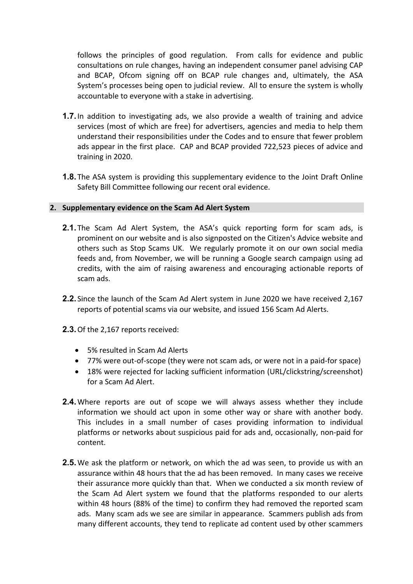follows the principles of good regulation. From calls for evidence and public consultations on rule changes, having an independent consumer panel advising CAP and BCAP, Ofcom signing off on BCAP rule changes and, ultimately, the ASA System's processes being open to judicial review. All to ensure the system is wholly accountable to everyone with a stake in advertising.

- **1.7.**In addition to investigating ads, we also provide a wealth of training and advice services (most of which are free) for advertisers, agencies and media to help them understand their responsibilities under the Codes and to ensure that fewer problem ads appear in the first place. CAP and BCAP provided 722,523 pieces of advice and training in 2020.
- **1.8.** The ASA system is providing this supplementary evidence to the Joint Draft Online Safety Bill Committee following our recent oral evidence.

## **2. Supplementary evidence on the Scam Ad Alert System**

- **2.1.** The Scam Ad Alert System, the ASA's quick reporting form for scam ads, is prominent on our website and is also signposted on the Citizen's Advice website and others such as Stop Scams UK. We regularly promote it on our own social media feeds and, from November, we will be running a Google search campaign using ad credits, with the aim of raising awareness and encouraging actionable reports of scam ads.
- **2.2.** Since the launch of the Scam Ad Alert system in June 2020 we have received 2,167 reports of potential scams via our website, and issued 156 Scam Ad Alerts.
- **2.3.**Of the 2,167 reports received:
	- 5% resulted in Scam Ad Alerts
	- 77% were out-of-scope (they were not scam ads, or were not in a paid-for space)
	- 18% were rejected for lacking sufficient information (URL/clickstring/screenshot) for a Scam Ad Alert.
- **2.4.**Where reports are out of scope we will always assess whether they include information we should act upon in some other way or share with another body. This includes in a small number of cases providing information to individual platforms or networks about suspicious paid for ads and, occasionally, non-paid for content.
- **2.5.**We ask the platform or network, on which the ad was seen, to provide us with an assurance within 48 hours that the ad has been removed. In many cases we receive their assurance more quickly than that. When we conducted a six month review of the Scam Ad Alert system we found that the platforms responded to our alerts within 48 hours (88% of the time) to confirm they had removed the reported scam ads. Many scam ads we see are similar in appearance. Scammers publish ads from many different accounts, they tend to replicate ad content used by other scammers